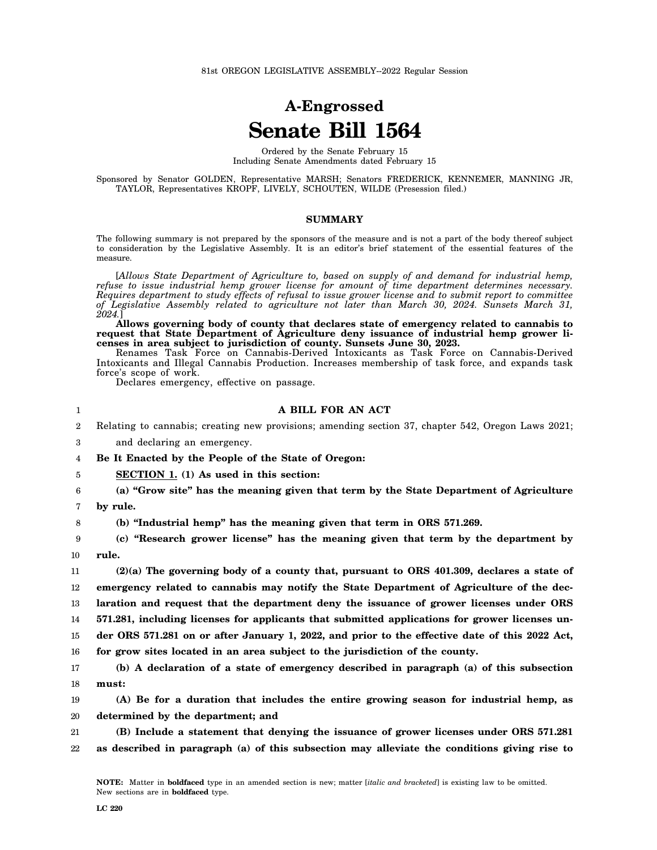# **A-Engrossed Senate Bill 1564**

Ordered by the Senate February 15 Including Senate Amendments dated February 15

Sponsored by Senator GOLDEN, Representative MARSH; Senators FREDERICK, KENNEMER, MANNING JR, TAYLOR, Representatives KROPF, LIVELY, SCHOUTEN, WILDE (Presession filed.)

## **SUMMARY**

The following summary is not prepared by the sponsors of the measure and is not a part of the body thereof subject to consideration by the Legislative Assembly. It is an editor's brief statement of the essential features of the measure.

[*Allows State Department of Agriculture to, based on supply of and demand for industrial hemp, refuse to issue industrial hemp grower license for amount of time department determines necessary. Requires department to study effects of refusal to issue grower license and to submit report to committee of Legislative Assembly related to agriculture not later than March 30, 2024. Sunsets March 31, 2024.*]

**Allows governing body of county that declares state of emergency related to cannabis to request that State Department of Agriculture deny issuance of industrial hemp grower licenses in area subject to jurisdiction of county. Sunsets June 30, 2023.**

Renames Task Force on Cannabis-Derived Intoxicants as Task Force on Cannabis-Derived Intoxicants and Illegal Cannabis Production. Increases membership of task force, and expands task force's scope of work.

Declares emergency, effective on passage.

#### **A BILL FOR AN ACT**

- 2 3 Relating to cannabis; creating new provisions; amending section 37, chapter 542, Oregon Laws 2021; and declaring an emergency.
- 4 **Be It Enacted by the People of the State of Oregon:**

5 **SECTION 1. (1) As used in this section:**

6 7 **(a) "Grow site" has the meaning given that term by the State Department of Agriculture by rule.**

1

8

**(b) "Industrial hemp" has the meaning given that term in ORS 571.269.**

9 10 **(c) "Research grower license" has the meaning given that term by the department by rule.**

11 12 13 14 15 16 **(2)(a) The governing body of a county that, pursuant to ORS 401.309, declares a state of emergency related to cannabis may notify the State Department of Agriculture of the declaration and request that the department deny the issuance of grower licenses under ORS 571.281, including licenses for applicants that submitted applications for grower licenses under ORS 571.281 on or after January 1, 2022, and prior to the effective date of this 2022 Act, for grow sites located in an area subject to the jurisdiction of the county.**

17 18 **(b) A declaration of a state of emergency described in paragraph (a) of this subsection must:**

19 20 **(A) Be for a duration that includes the entire growing season for industrial hemp, as determined by the department; and**

21 22 **(B) Include a statement that denying the issuance of grower licenses under ORS 571.281 as described in paragraph (a) of this subsection may alleviate the conditions giving rise to**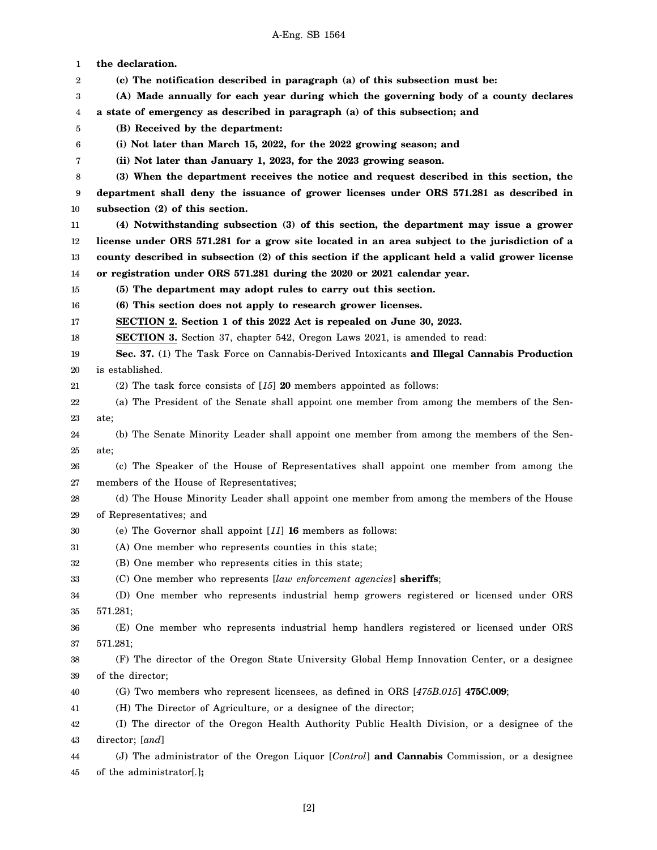1 2 3 4 5 6 7 8 9 10 11 12 13 14 15 16 17 18 19 20 21 22 23 24 25 26 27 28 29 30 31 32 33 34 35 36 37 38 39 40 41 42 43 44 45 **the declaration. (c) The notification described in paragraph (a) of this subsection must be: (A) Made annually for each year during which the governing body of a county declares a state of emergency as described in paragraph (a) of this subsection; and (B) Received by the department: (i) Not later than March 15, 2022, for the 2022 growing season; and (ii) Not later than January 1, 2023, for the 2023 growing season. (3) When the department receives the notice and request described in this section, the department shall deny the issuance of grower licenses under ORS 571.281 as described in subsection (2) of this section. (4) Notwithstanding subsection (3) of this section, the department may issue a grower license under ORS 571.281 for a grow site located in an area subject to the jurisdiction of a county described in subsection (2) of this section if the applicant held a valid grower license or registration under ORS 571.281 during the 2020 or 2021 calendar year. (5) The department may adopt rules to carry out this section. (6) This section does not apply to research grower licenses. SECTION 2. Section 1 of this 2022 Act is repealed on June 30, 2023. SECTION 3.** Section 37, chapter 542, Oregon Laws 2021, is amended to read: **Sec. 37.** (1) The Task Force on Cannabis-Derived Intoxicants **and Illegal Cannabis Production** is established. (2) The task force consists of [*15*] **20** members appointed as follows: (a) The President of the Senate shall appoint one member from among the members of the Senate; (b) The Senate Minority Leader shall appoint one member from among the members of the Senate; (c) The Speaker of the House of Representatives shall appoint one member from among the members of the House of Representatives; (d) The House Minority Leader shall appoint one member from among the members of the House of Representatives; and (e) The Governor shall appoint [*11*] **16** members as follows: (A) One member who represents counties in this state; (B) One member who represents cities in this state; (C) One member who represents [*law enforcement agencies*] **sheriffs**; (D) One member who represents industrial hemp growers registered or licensed under ORS 571.281; (E) One member who represents industrial hemp handlers registered or licensed under ORS 571.281; (F) The director of the Oregon State University Global Hemp Innovation Center, or a designee of the director; (G) Two members who represent licensees, as defined in ORS [*475B.015*] **475C.009**; (H) The Director of Agriculture, or a designee of the director; (I) The director of the Oregon Health Authority Public Health Division, or a designee of the director; [*and*] (J) The administrator of the Oregon Liquor [*Control*] **and Cannabis** Commission, or a designee of the administrator[*.*]**;**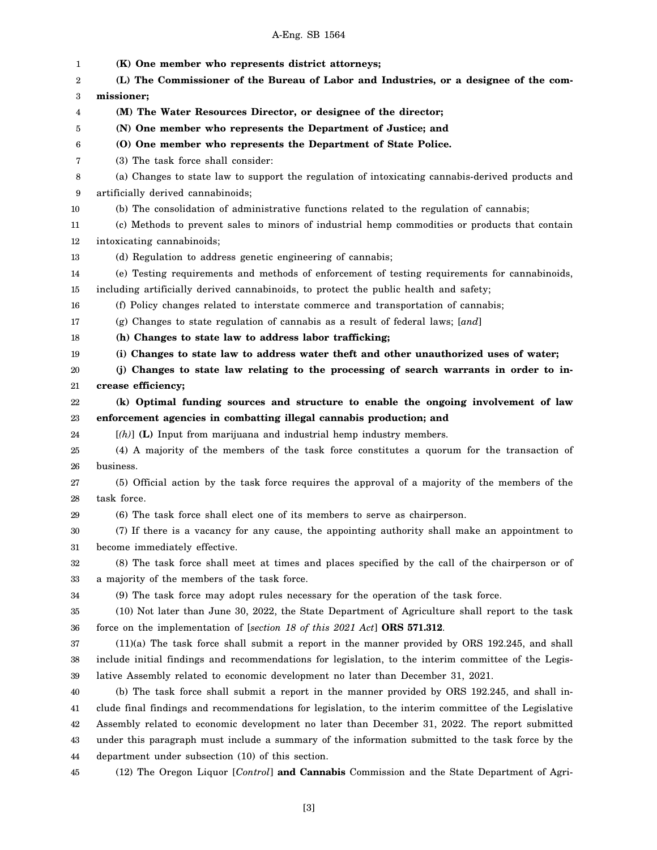### A-Eng. SB 1564

1 2 3 4 5 6 7 8 9 10 11 12 13 14 15 16 17 18 19 20 21 22 23 24 25 26 27 28 29 30 31 32 33 34 35 36 37 38 39 40 41 42 43 44 45 **(K) One member who represents district attorneys; (L) The Commissioner of the Bureau of Labor and Industries, or a designee of the commissioner; (M) The Water Resources Director, or designee of the director; (N) One member who represents the Department of Justice; and (O) One member who represents the Department of State Police.** (3) The task force shall consider: (a) Changes to state law to support the regulation of intoxicating cannabis-derived products and artificially derived cannabinoids; (b) The consolidation of administrative functions related to the regulation of cannabis; (c) Methods to prevent sales to minors of industrial hemp commodities or products that contain intoxicating cannabinoids; (d) Regulation to address genetic engineering of cannabis; (e) Testing requirements and methods of enforcement of testing requirements for cannabinoids, including artificially derived cannabinoids, to protect the public health and safety; (f) Policy changes related to interstate commerce and transportation of cannabis; (g) Changes to state regulation of cannabis as a result of federal laws; [*and*] **(h) Changes to state law to address labor trafficking; (i) Changes to state law to address water theft and other unauthorized uses of water; (j) Changes to state law relating to the processing of search warrants in order to increase efficiency; (k) Optimal funding sources and structure to enable the ongoing involvement of law enforcement agencies in combatting illegal cannabis production; and** [*(h)*] **(L)** Input from marijuana and industrial hemp industry members. (4) A majority of the members of the task force constitutes a quorum for the transaction of business. (5) Official action by the task force requires the approval of a majority of the members of the task force. (6) The task force shall elect one of its members to serve as chairperson. (7) If there is a vacancy for any cause, the appointing authority shall make an appointment to become immediately effective. (8) The task force shall meet at times and places specified by the call of the chairperson or of a majority of the members of the task force. (9) The task force may adopt rules necessary for the operation of the task force. (10) Not later than June 30, 2022, the State Department of Agriculture shall report to the task force on the implementation of [*section 18 of this 2021 Act*] **ORS 571.312**. (11)(a) The task force shall submit a report in the manner provided by ORS 192.245, and shall include initial findings and recommendations for legislation, to the interim committee of the Legislative Assembly related to economic development no later than December 31, 2021. (b) The task force shall submit a report in the manner provided by ORS 192.245, and shall include final findings and recommendations for legislation, to the interim committee of the Legislative Assembly related to economic development no later than December 31, 2022. The report submitted under this paragraph must include a summary of the information submitted to the task force by the department under subsection (10) of this section. (12) The Oregon Liquor [*Control*] **and Cannabis** Commission and the State Department of Agri-